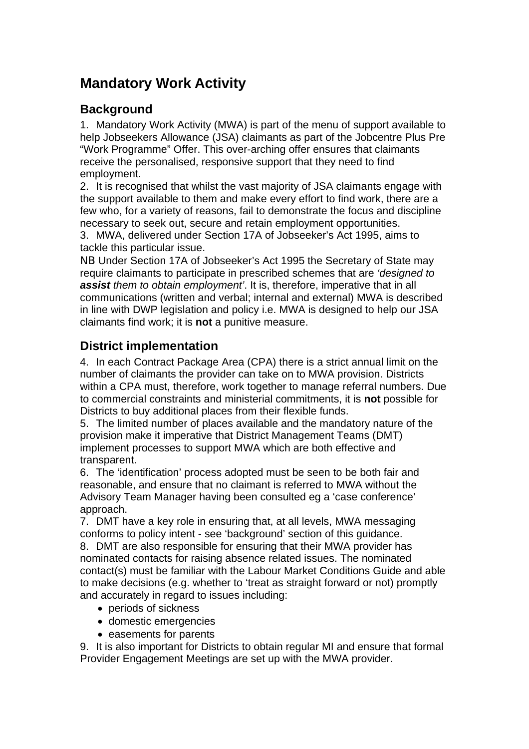# **Mandatory Work Activity**

## **Background**

1. Mandatory Work Activity (MWA) is part of the menu of support available to help Jobseekers Allowance (JSA) claimants as part of the Jobcentre Plus Pre "Work Programme" Offer. This over-arching offer ensures that claimants receive the personalised, responsive support that they need to find employment.

2. It is recognised that whilst the vast majority of JSA claimants engage with the support available to them and make every effort to find work, there are a few who, for a variety of reasons, fail to demonstrate the focus and discipline necessary to seek out, secure and retain employment opportunities.

3. MWA, delivered under Section 17A of Jobseeker's Act 1995, aims to tackle this particular issue.

NB Under Section 17A of Jobseeker's Act 1995 the Secretary of State may require claimants to participate in prescribed schemes that are *'designed to assist them to obtain employment'*. It is, therefore, imperative that in all communications (written and verbal; internal and external) MWA is described in line with DWP legislation and policy i.e. MWA is designed to help our JSA claimants find work; it is **not** a punitive measure.

## **District implementation**

4. In each Contract Package Area (CPA) there is a strict annual limit on the number of claimants the provider can take on to MWA provision. Districts within a CPA must, therefore, work together to manage referral numbers. Due to commercial constraints and ministerial commitments, it is **not** possible for Districts to buy additional places from their flexible funds.

5. The limited number of places available and the mandatory nature of the provision make it imperative that District Management Teams (DMT) implement processes to support MWA which are both effective and transparent.

6. The 'identification' process adopted must be seen to be both fair and reasonable, and ensure that no claimant is referred to MWA without the Advisory Team Manager having been consulted eg a 'case conference' approach.

7. DMT have a key role in ensuring that, at all levels, MWA messaging conforms to policy intent - see 'background' section of this guidance.

8. DMT are also responsible for ensuring that their MWA provider has nominated contacts for raising absence related issues. The nominated contact(s) must be familiar with the Labour Market Conditions Guide and able to make decisions (e.g. whether to 'treat as straight forward or not) promptly and accurately in regard to issues including:

- periods of sickness
- domestic emergencies
- easements for parents

9. It is also important for Districts to obtain regular MI and ensure that formal Provider Engagement Meetings are set up with the MWA provider.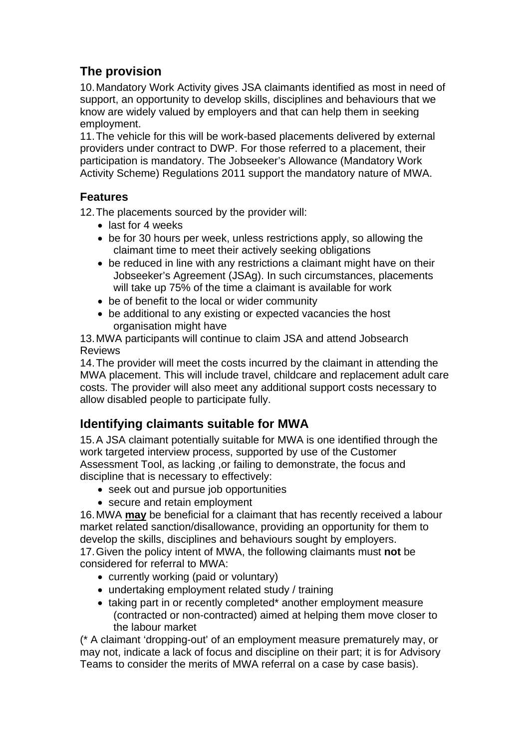## **The provision**

10. Mandatory Work Activity gives JSA claimants identified as most in need of support, an opportunity to develop skills, disciplines and behaviours that we know are widely valued by employers and that can help them in seeking employment.

11. The vehicle for this will be work-based placements delivered by external providers under contract to DWP. For those referred to a placement, their participation is mandatory. The Jobseeker's Allowance (Mandatory Work Activity Scheme) Regulations 2011 support the mandatory nature of MWA.

#### **Features**

12. The placements sourced by the provider will:

- last for 4 weeks
- be for 30 hours per week, unless restrictions apply, so allowing the claimant time to meet their actively seeking obligations
- be reduced in line with any restrictions a claimant might have on their Jobseeker's Agreement (JSAg). In such circumstances, placements will take up 75% of the time a claimant is available for work
- be of benefit to the local or wider community
- be additional to any existing or expected vacancies the host organisation might have

13. MWA participants will continue to claim JSA and attend Jobsearch Reviews

14. The provider will meet the costs incurred by the claimant in attending the MWA placement. This will include travel, childcare and replacement adult care costs. The provider will also meet any additional support costs necessary to allow disabled people to participate fully.

## **Identifying claimants suitable for MWA**

15. A JSA claimant potentially suitable for MWA is one identified through the work targeted interview process, supported by use of the Customer Assessment Tool, as lacking ,or failing to demonstrate, the focus and discipline that is necessary to effectively:

- seek out and pursue job opportunities
- secure and retain employment

16. MWA **may** be beneficial for a claimant that has recently received a labour market related sanction/disallowance, providing an opportunity for them to develop the skills, disciplines and behaviours sought by employers.

17. Given the policy intent of MWA, the following claimants must **not** be considered for referral to MWA:

- currently working (paid or voluntary)
- undertaking employment related study / training
- taking part in or recently completed\* another employment measure (contracted or non-contracted) aimed at helping them move closer to the labour market

(\* A claimant 'dropping-out' of an employment measure prematurely may, or may not, indicate a lack of focus and discipline on their part; it is for Advisory Teams to consider the merits of MWA referral on a case by case basis).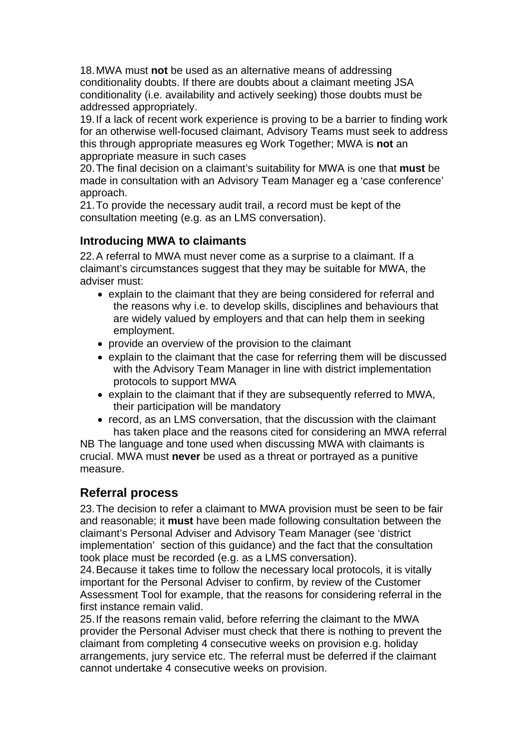18. MWA must **not** be used as an alternative means of addressing conditionality doubts. If there are doubts about a claimant meeting JSA conditionality (i.e. availability and actively seeking) those doubts must be addressed appropriately.

19. If a lack of recent work experience is proving to be a barrier to finding work for an otherwise well-focused claimant, Advisory Teams must seek to address this through appropriate measures eg Work Together; MWA is **not** an appropriate measure in such cases

20. The final decision on a claimant's suitability for MWA is one that **must** be made in consultation with an Advisory Team Manager eg a 'case conference' approach.

21. To provide the necessary audit trail, a record must be kept of the consultation meeting (e.g. as an LMS conversation).

#### **Introducing MWA to claimants**

22. A referral to MWA must never come as a surprise to a claimant. If a claimant's circumstances suggest that they may be suitable for MWA, the adviser must:

- explain to the claimant that they are being considered for referral and the reasons why i.e. to develop skills, disciplines and behaviours that are widely valued by employers and that can help them in seeking employment.
- provide an overview of the provision to the claimant
- explain to the claimant that the case for referring them will be discussed with the Advisory Team Manager in line with district implementation protocols to support MWA
- explain to the claimant that if they are subsequently referred to MWA, their participation will be mandatory
- record, as an LMS conversation, that the discussion with the claimant has taken place and the reasons cited for considering an MWA referral

NB The language and tone used when discussing MWA with claimants is crucial. MWA must **never** be used as a threat or portrayed as a punitive measure.

## **Referral process**

23. The decision to refer a claimant to MWA provision must be seen to be fair and reasonable; it **must** have been made following consultation between the claimant's Personal Adviser and Advisory Team Manager (see 'district implementation' section of this guidance) and the fact that the consultation took place must be recorded (e.g. as a LMS conversation).

24. Because it takes time to follow the necessary local protocols, it is vitally important for the Personal Adviser to confirm, by review of the Customer Assessment Tool for example, that the reasons for considering referral in the first instance remain valid.

25. If the reasons remain valid, before referring the claimant to the MWA provider the Personal Adviser must check that there is nothing to prevent the claimant from completing 4 consecutive weeks on provision e.g. holiday arrangements, jury service etc. The referral must be deferred if the claimant cannot undertake 4 consecutive weeks on provision.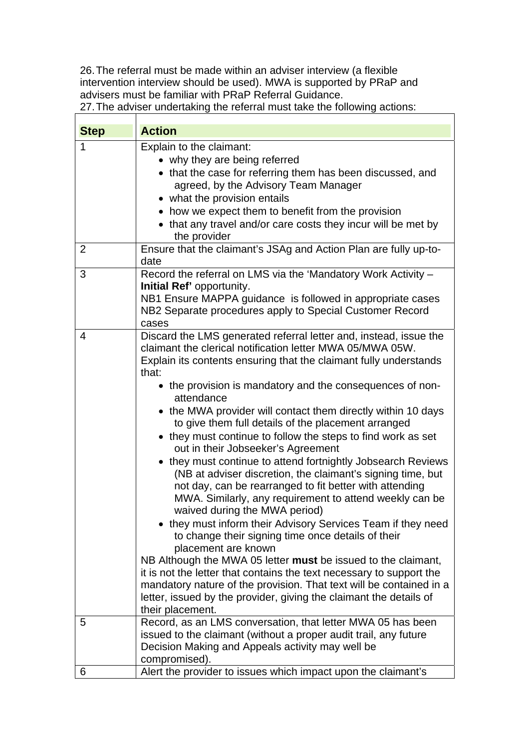26. The referral must be made within an adviser interview (a flexible intervention interview should be used). MWA is supported by PRaP and advisers must be familiar with PRaP Referral Guidance.

27. The adviser undertaking the referral must take the following actions:

 $\overline{\mathbf{1}}$ 

| <b>Step</b> | <b>Action</b>                                                                                                                                                                                                                                                                                                                                                                                                                                                                                                                                                                                                                                                                                                                                                                                                                                                                                                                                                                                                                                                                                                                                                                                                                                                     |
|-------------|-------------------------------------------------------------------------------------------------------------------------------------------------------------------------------------------------------------------------------------------------------------------------------------------------------------------------------------------------------------------------------------------------------------------------------------------------------------------------------------------------------------------------------------------------------------------------------------------------------------------------------------------------------------------------------------------------------------------------------------------------------------------------------------------------------------------------------------------------------------------------------------------------------------------------------------------------------------------------------------------------------------------------------------------------------------------------------------------------------------------------------------------------------------------------------------------------------------------------------------------------------------------|
| 1           | Explain to the claimant:<br>• why they are being referred<br>• that the case for referring them has been discussed, and<br>agreed, by the Advisory Team Manager<br>• what the provision entails<br>• how we expect them to benefit from the provision<br>• that any travel and/or care costs they incur will be met by<br>the provider                                                                                                                                                                                                                                                                                                                                                                                                                                                                                                                                                                                                                                                                                                                                                                                                                                                                                                                            |
| 2           | Ensure that the claimant's JSAg and Action Plan are fully up-to-<br>date                                                                                                                                                                                                                                                                                                                                                                                                                                                                                                                                                                                                                                                                                                                                                                                                                                                                                                                                                                                                                                                                                                                                                                                          |
| 3           | Record the referral on LMS via the 'Mandatory Work Activity -<br>Initial Ref' opportunity.<br>NB1 Ensure MAPPA guidance is followed in appropriate cases<br>NB2 Separate procedures apply to Special Customer Record<br>cases                                                                                                                                                                                                                                                                                                                                                                                                                                                                                                                                                                                                                                                                                                                                                                                                                                                                                                                                                                                                                                     |
| 4           | Discard the LMS generated referral letter and, instead, issue the<br>claimant the clerical notification letter MWA 05/MWA 05W.<br>Explain its contents ensuring that the claimant fully understands<br>that:<br>• the provision is mandatory and the consequences of non-<br>attendance<br>• the MWA provider will contact them directly within 10 days<br>to give them full details of the placement arranged<br>• they must continue to follow the steps to find work as set<br>out in their Jobseeker's Agreement<br>• they must continue to attend fortnightly Jobsearch Reviews<br>(NB at adviser discretion, the claimant's signing time, but<br>not day, can be rearranged to fit better with attending<br>MWA. Similarly, any requirement to attend weekly can be<br>waived during the MWA period)<br>• they must inform their Advisory Services Team if they need<br>to change their signing time once details of their<br>placement are known<br>NB Although the MWA 05 letter must be issued to the claimant,<br>it is not the letter that contains the text necessary to support the<br>mandatory nature of the provision. That text will be contained in a<br>letter, issued by the provider, giving the claimant the details of<br>their placement. |
| 5           | Record, as an LMS conversation, that letter MWA 05 has been<br>issued to the claimant (without a proper audit trail, any future<br>Decision Making and Appeals activity may well be<br>compromised).                                                                                                                                                                                                                                                                                                                                                                                                                                                                                                                                                                                                                                                                                                                                                                                                                                                                                                                                                                                                                                                              |
| 6           | Alert the provider to issues which impact upon the claimant's                                                                                                                                                                                                                                                                                                                                                                                                                                                                                                                                                                                                                                                                                                                                                                                                                                                                                                                                                                                                                                                                                                                                                                                                     |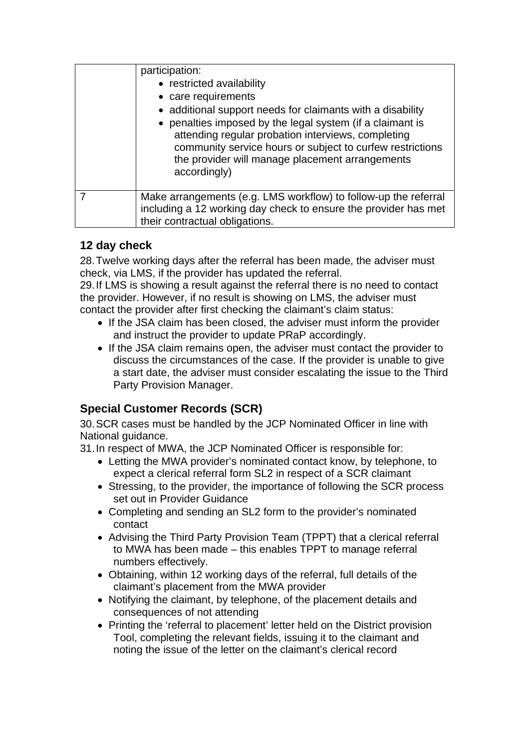| participation:<br>• restricted availability<br>• care requirements<br>• additional support needs for claimants with a disability<br>• penalties imposed by the legal system (if a claimant is<br>attending regular probation interviews, completing<br>community service hours or subject to curfew restrictions<br>the provider will manage placement arrangements<br>accordingly) |
|-------------------------------------------------------------------------------------------------------------------------------------------------------------------------------------------------------------------------------------------------------------------------------------------------------------------------------------------------------------------------------------|
| Make arrangements (e.g. LMS workflow) to follow-up the referral<br>including a 12 working day check to ensure the provider has met<br>their contractual obligations.                                                                                                                                                                                                                |

#### **12 day check**

28. Twelve working days after the referral has been made, the adviser must check, via LMS, if the provider has updated the referral.

29. If LMS is showing a result against the referral there is no need to contact the provider. However, if no result is showing on LMS, the adviser must contact the provider after first checking the claimant's claim status:

- If the JSA claim has been closed, the adviser must inform the provider and instruct the provider to update PRaP accordingly.
- If the JSA claim remains open, the adviser must contact the provider to discuss the circumstances of the case. If the provider is unable to give a start date, the adviser must consider escalating the issue to the Third Party Provision Manager.

## **Special Customer Records (SCR)**

30. SCR cases must be handled by the JCP Nominated Officer in line with National guidance.

- 31. In respect of MWA, the JCP Nominated Officer is responsible for:
	- Letting the MWA provider's nominated contact know, by telephone, to expect a clerical referral form SL2 in respect of a SCR claimant
	- Stressing, to the provider, the importance of following the SCR process set out in Provider Guidance
	- Completing and sending an SL2 form to the provider's nominated contact
	- Advising the Third Party Provision Team (TPPT) that a clerical referral to MWA has been made – this enables TPPT to manage referral numbers effectively.
	- Obtaining, within 12 working days of the referral, full details of the claimant's placement from the MWA provider
	- Notifying the claimant, by telephone, of the placement details and consequences of not attending
	- Printing the 'referral to placement' letter held on the District provision Tool, completing the relevant fields, issuing it to the claimant and noting the issue of the letter on the claimant's clerical record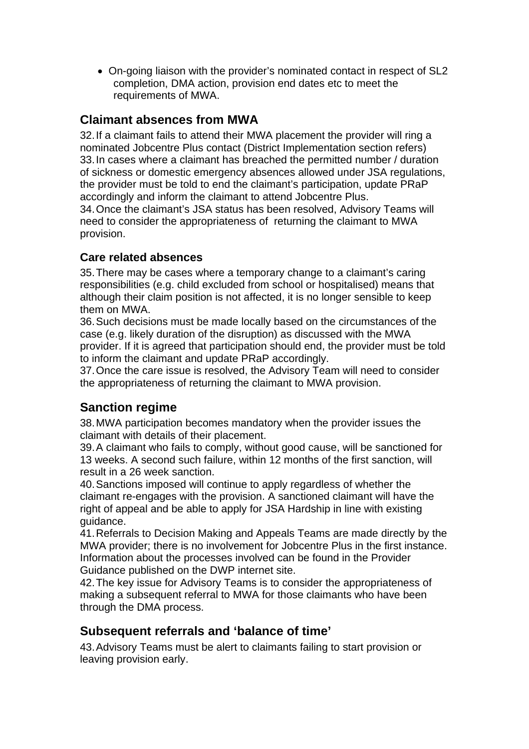On-going liaison with the provider's nominated contact in respect of SL2 completion, DMA action, provision end dates etc to meet the requirements of MWA.

## **Claimant absences from MWA**

32. If a claimant fails to attend their MWA placement the provider will ring a nominated Jobcentre Plus contact (District Implementation section refers) 33. In cases where a claimant has breached the permitted number / duration of sickness or domestic emergency absences allowed under JSA regulations, the provider must be told to end the claimant's participation, update PRaP accordingly and inform the claimant to attend Jobcentre Plus.

34. Once the claimant's JSA status has been resolved, Advisory Teams will need to consider the appropriateness of returning the claimant to MWA provision.

#### **Care related absences**

35. There may be cases where a temporary change to a claimant's caring responsibilities (e.g. child excluded from school or hospitalised) means that although their claim position is not affected, it is no longer sensible to keep them on MWA.

36. Such decisions must be made locally based on the circumstances of the case (e.g. likely duration of the disruption) as discussed with the MWA provider. If it is agreed that participation should end, the provider must be told to inform the claimant and update PRaP accordingly.

37. Once the care issue is resolved, the Advisory Team will need to consider the appropriateness of returning the claimant to MWA provision.

## **Sanction regime**

38. MWA participation becomes mandatory when the provider issues the claimant with details of their placement.

39. A claimant who fails to comply, without good cause, will be sanctioned for 13 weeks. A second such failure, within 12 months of the first sanction, will result in a 26 week sanction.

40. Sanctions imposed will continue to apply regardless of whether the claimant re-engages with the provision. A sanctioned claimant will have the right of appeal and be able to apply for JSA Hardship in line with existing guidance.

41. Referrals to Decision Making and Appeals Teams are made directly by the MWA provider; there is no involvement for Jobcentre Plus in the first instance. Information about the processes involved can be found in the Provider Guidance published on the DWP internet site.

42. The key issue for Advisory Teams is to consider the appropriateness of making a subsequent referral to MWA for those claimants who have been through the DMA process.

#### **Subsequent referrals and 'balance of time'**

43. Advisory Teams must be alert to claimants failing to start provision or leaving provision early.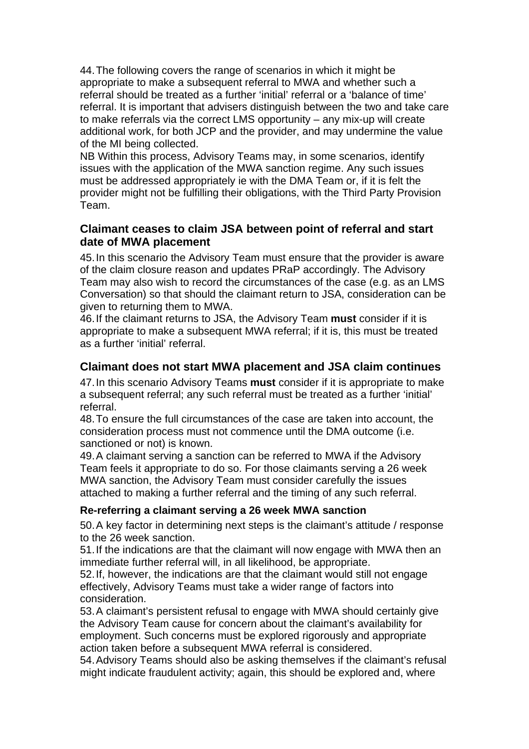44. The following covers the range of scenarios in which it might be appropriate to make a subsequent referral to MWA and whether such a referral should be treated as a further 'initial' referral or a 'balance of time' referral. It is important that advisers distinguish between the two and take care to make referrals via the correct LMS opportunity – any mix-up will create additional work, for both JCP and the provider, and may undermine the value of the MI being collected.

NB Within this process, Advisory Teams may, in some scenarios, identify issues with the application of the MWA sanction regime. Any such issues must be addressed appropriately ie with the DMA Team or, if it is felt the provider might not be fulfilling their obligations, with the Third Party Provision Team.

#### **Claimant ceases to claim JSA between point of referral and start date of MWA placement**

45. In this scenario the Advisory Team must ensure that the provider is aware of the claim closure reason and updates PRaP accordingly. The Advisory Team may also wish to record the circumstances of the case (e.g. as an LMS Conversation) so that should the claimant return to JSA, consideration can be given to returning them to MWA.

46. If the claimant returns to JSA, the Advisory Team **must** consider if it is appropriate to make a subsequent MWA referral; if it is, this must be treated as a further 'initial' referral.

#### **Claimant does not start MWA placement and JSA claim continues**

47. In this scenario Advisory Teams **must** consider if it is appropriate to make a subsequent referral; any such referral must be treated as a further 'initial' referral.

48. To ensure the full circumstances of the case are taken into account, the consideration process must not commence until the DMA outcome (i.e. sanctioned or not) is known.

49. A claimant serving a sanction can be referred to MWA if the Advisory Team feels it appropriate to do so. For those claimants serving a 26 week MWA sanction, the Advisory Team must consider carefully the issues attached to making a further referral and the timing of any such referral.

#### **Re-referring a claimant serving a 26 week MWA sanction**

50. A key factor in determining next steps is the claimant's attitude / response to the 26 week sanction.

51. If the indications are that the claimant will now engage with MWA then an immediate further referral will, in all likelihood, be appropriate.

52. If, however, the indications are that the claimant would still not engage effectively, Advisory Teams must take a wider range of factors into consideration.

53. A claimant's persistent refusal to engage with MWA should certainly give the Advisory Team cause for concern about the claimant's availability for employment. Such concerns must be explored rigorously and appropriate action taken before a subsequent MWA referral is considered.

54. Advisory Teams should also be asking themselves if the claimant's refusal might indicate fraudulent activity; again, this should be explored and, where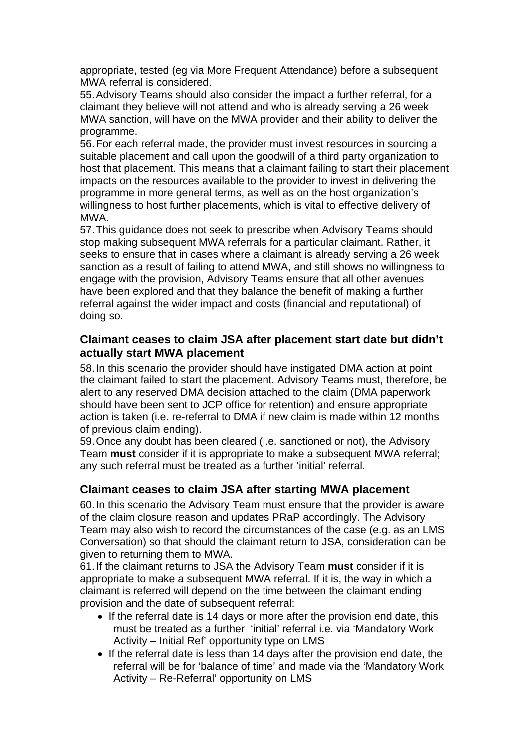appropriate, tested (eg via More Frequent Attendance) before a subsequent MWA referral is considered.

55. Advisory Teams should also consider the impact a further referral, for a claimant they believe will not attend and who is already serving a 26 week MWA sanction, will have on the MWA provider and their ability to deliver the programme.

56. For each referral made, the provider must invest resources in sourcing a suitable placement and call upon the goodwill of a third party organization to host that placement. This means that a claimant failing to start their placement impacts on the resources available to the provider to invest in delivering the programme in more general terms, as well as on the host organization's willingness to host further placements, which is vital to effective delivery of MWA.

57. This guidance does not seek to prescribe when Advisory Teams should stop making subsequent MWA referrals for a particular claimant. Rather, it seeks to ensure that in cases where a claimant is already serving a 26 week sanction as a result of failing to attend MWA, and still shows no willingness to engage with the provision, Advisory Teams ensure that all other avenues have been explored and that they balance the benefit of making a further referral against the wider impact and costs (financial and reputational) of doing so.

#### **Claimant ceases to claim JSA after placement start date but didn't actually start MWA placement**

58. In this scenario the provider should have instigated DMA action at point the claimant failed to start the placement. Advisory Teams must, therefore, be alert to any reserved DMA decision attached to the claim (DMA paperwork should have been sent to JCP office for retention) and ensure appropriate action is taken (i.e. re-referral to DMA if new claim is made within 12 months of previous claim ending).

59. Once any doubt has been cleared (i.e. sanctioned or not), the Advisory Team **must** consider if it is appropriate to make a subsequent MWA referral; any such referral must be treated as a further 'initial' referral.

#### **Claimant ceases to claim JSA after starting MWA placement**

60. In this scenario the Advisory Team must ensure that the provider is aware of the claim closure reason and updates PRaP accordingly. The Advisory Team may also wish to record the circumstances of the case (e.g. as an LMS Conversation) so that should the claimant return to JSA, consideration can be given to returning them to MWA.

61. If the claimant returns to JSA the Advisory Team **must** consider if it is appropriate to make a subsequent MWA referral. If it is, the way in which a claimant is referred will depend on the time between the claimant ending provision and the date of subsequent referral:

- If the referral date is 14 days or more after the provision end date, this must be treated as a further 'initial' referral i.e. via 'Mandatory Work Activity – Initial Ref' opportunity type on LMS
- If the referral date is less than 14 days after the provision end date, the referral will be for 'balance of time' and made via the 'Mandatory Work Activity – Re-Referral' opportunity on LMS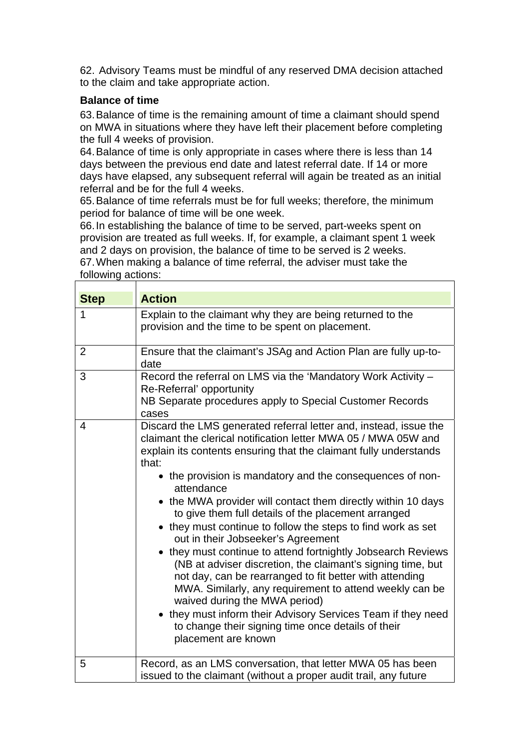62. Advisory Teams must be mindful of any reserved DMA decision attached to the claim and take appropriate action.

#### **Balance of time**

63. Balance of time is the remaining amount of time a claimant should spend on MWA in situations where they have left their placement before completing the full 4 weeks of provision.

64. Balance of time is only appropriate in cases where there is less than 14 days between the previous end date and latest referral date. If 14 or more days have elapsed, any subsequent referral will again be treated as an initial referral and be for the full 4 weeks.

65. Balance of time referrals must be for full weeks; therefore, the minimum period for balance of time will be one week.

66. In establishing the balance of time to be served, part-weeks spent on provision are treated as full weeks. If, for example, a claimant spent 1 week and 2 days on provision, the balance of time to be served is 2 weeks. 67. When making a balance of time referral, the adviser must take the following actions:

| <b>Step</b>    | <b>Action</b>                                                                                                                                                                                                                                                                                                                                                                                                                                                                                                                                                                                                                                                                                                                                                                                                                                                                                                                                                |
|----------------|--------------------------------------------------------------------------------------------------------------------------------------------------------------------------------------------------------------------------------------------------------------------------------------------------------------------------------------------------------------------------------------------------------------------------------------------------------------------------------------------------------------------------------------------------------------------------------------------------------------------------------------------------------------------------------------------------------------------------------------------------------------------------------------------------------------------------------------------------------------------------------------------------------------------------------------------------------------|
| 1              | Explain to the claimant why they are being returned to the<br>provision and the time to be spent on placement.                                                                                                                                                                                                                                                                                                                                                                                                                                                                                                                                                                                                                                                                                                                                                                                                                                               |
| $\overline{2}$ | Ensure that the claimant's JSAg and Action Plan are fully up-to-<br>date                                                                                                                                                                                                                                                                                                                                                                                                                                                                                                                                                                                                                                                                                                                                                                                                                                                                                     |
| 3              | Record the referral on LMS via the 'Mandatory Work Activity -<br>Re-Referral' opportunity<br>NB Separate procedures apply to Special Customer Records<br>cases                                                                                                                                                                                                                                                                                                                                                                                                                                                                                                                                                                                                                                                                                                                                                                                               |
| 4              | Discard the LMS generated referral letter and, instead, issue the<br>claimant the clerical notification letter MWA 05 / MWA 05W and<br>explain its contents ensuring that the claimant fully understands<br>that:<br>• the provision is mandatory and the consequences of non-<br>attendance<br>• the MWA provider will contact them directly within 10 days<br>to give them full details of the placement arranged<br>• they must continue to follow the steps to find work as set<br>out in their Jobseeker's Agreement<br>• they must continue to attend fortnightly Jobsearch Reviews<br>(NB at adviser discretion, the claimant's signing time, but<br>not day, can be rearranged to fit better with attending<br>MWA. Similarly, any requirement to attend weekly can be<br>waived during the MWA period)<br>• they must inform their Advisory Services Team if they need<br>to change their signing time once details of their<br>placement are known |
| 5              | Record, as an LMS conversation, that letter MWA 05 has been<br>issued to the claimant (without a proper audit trail, any future                                                                                                                                                                                                                                                                                                                                                                                                                                                                                                                                                                                                                                                                                                                                                                                                                              |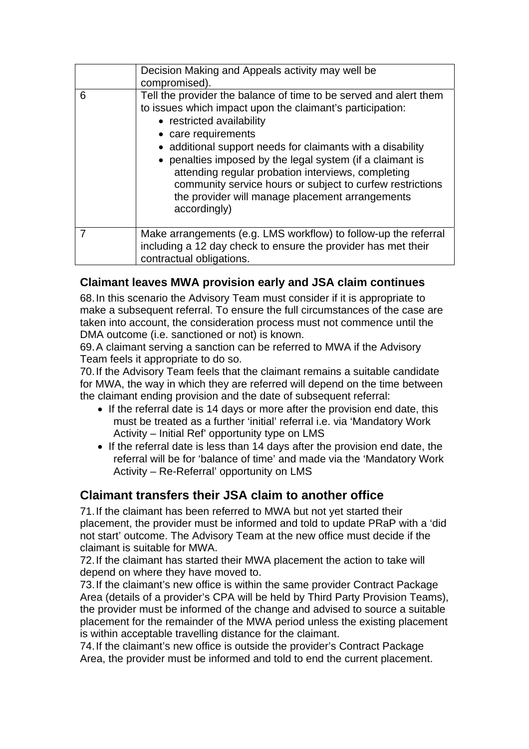|   | Decision Making and Appeals activity may well be<br>compromised).                                                                                                                                                                                                                                                                                                                                                                                                                                   |
|---|-----------------------------------------------------------------------------------------------------------------------------------------------------------------------------------------------------------------------------------------------------------------------------------------------------------------------------------------------------------------------------------------------------------------------------------------------------------------------------------------------------|
| 6 | Tell the provider the balance of time to be served and alert them<br>to issues which impact upon the claimant's participation:<br>• restricted availability<br>• care requirements<br>• additional support needs for claimants with a disability<br>• penalties imposed by the legal system (if a claimant is<br>attending regular probation interviews, completing<br>community service hours or subject to curfew restrictions<br>the provider will manage placement arrangements<br>accordingly) |
|   | Make arrangements (e.g. LMS workflow) to follow-up the referral<br>including a 12 day check to ensure the provider has met their<br>contractual obligations.                                                                                                                                                                                                                                                                                                                                        |

#### **Claimant leaves MWA provision early and JSA claim continues**

68. In this scenario the Advisory Team must consider if it is appropriate to make a subsequent referral. To ensure the full circumstances of the case are taken into account, the consideration process must not commence until the DMA outcome (i.e. sanctioned or not) is known.

69. A claimant serving a sanction can be referred to MWA if the Advisory Team feels it appropriate to do so.

70. If the Advisory Team feels that the claimant remains a suitable candidate for MWA, the way in which they are referred will depend on the time between the claimant ending provision and the date of subsequent referral:

- If the referral date is 14 days or more after the provision end date, this must be treated as a further 'initial' referral i.e. via 'Mandatory Work Activity – Initial Ref' opportunity type on LMS
- If the referral date is less than 14 days after the provision end date, the referral will be for 'balance of time' and made via the 'Mandatory Work Activity – Re-Referral' opportunity on LMS

## **Claimant transfers their JSA claim to another office**

71. If the claimant has been referred to MWA but not yet started their placement, the provider must be informed and told to update PRaP with a 'did not start' outcome. The Advisory Team at the new office must decide if the claimant is suitable for MWA.

72. If the claimant has started their MWA placement the action to take will depend on where they have moved to.

73. If the claimant's new office is within the same provider Contract Package Area (details of a provider's CPA will be held by Third Party Provision Teams), the provider must be informed of the change and advised to source a suitable placement for the remainder of the MWA period unless the existing placement is within acceptable travelling distance for the claimant.

74. If the claimant's new office is outside the provider's Contract Package Area, the provider must be informed and told to end the current placement.